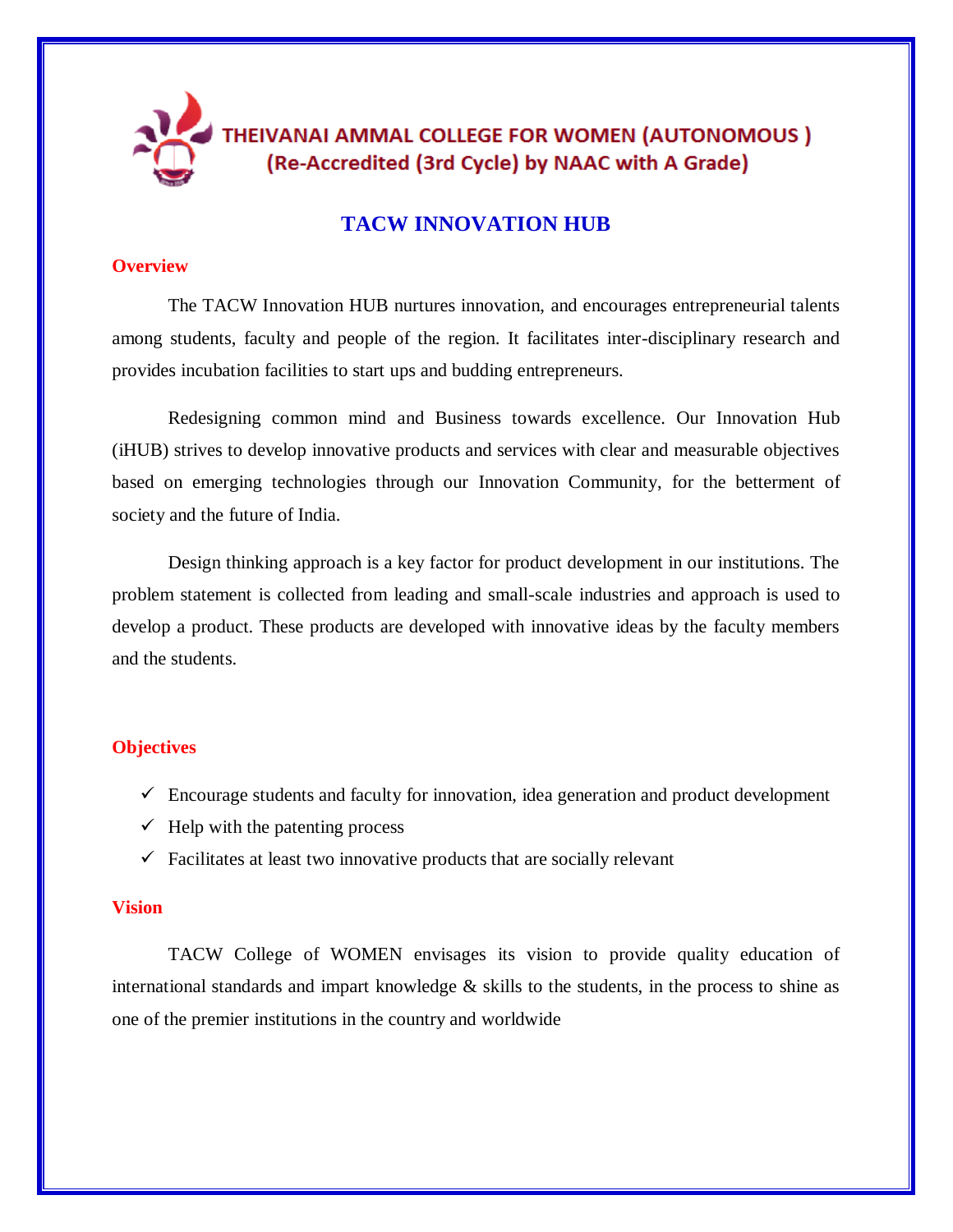

## **TACW INNOVATION HUB**

#### **Overview**

The TACW Innovation HUB nurtures innovation, and encourages entrepreneurial talents among students, faculty and people of the region. It facilitates inter-disciplinary research and provides incubation facilities to start ups and budding entrepreneurs.

Redesigning common mind and Business towards excellence. Our Innovation Hub (iHUB) strives to develop innovative products and services with clear and measurable objectives based on emerging technologies through our Innovation Community, for the betterment of society and the future of India.

Design thinking approach is a key factor for product development in our institutions. The problem statement is collected from leading and small-scale industries and approach is used to develop a product. These products are developed with innovative ideas by the faculty members and the students.

#### **Objectives**

- $\checkmark$  Encourage students and faculty for innovation, idea generation and product development
- $\checkmark$  Help with the patenting process
- $\checkmark$  Facilitates at least two innovative products that are socially relevant

#### **Vision**

TACW College of WOMEN envisages its vision to provide quality education of international standards and impart knowledge  $\&$  skills to the students, in the process to shine as one of the premier institutions in the country and worldwide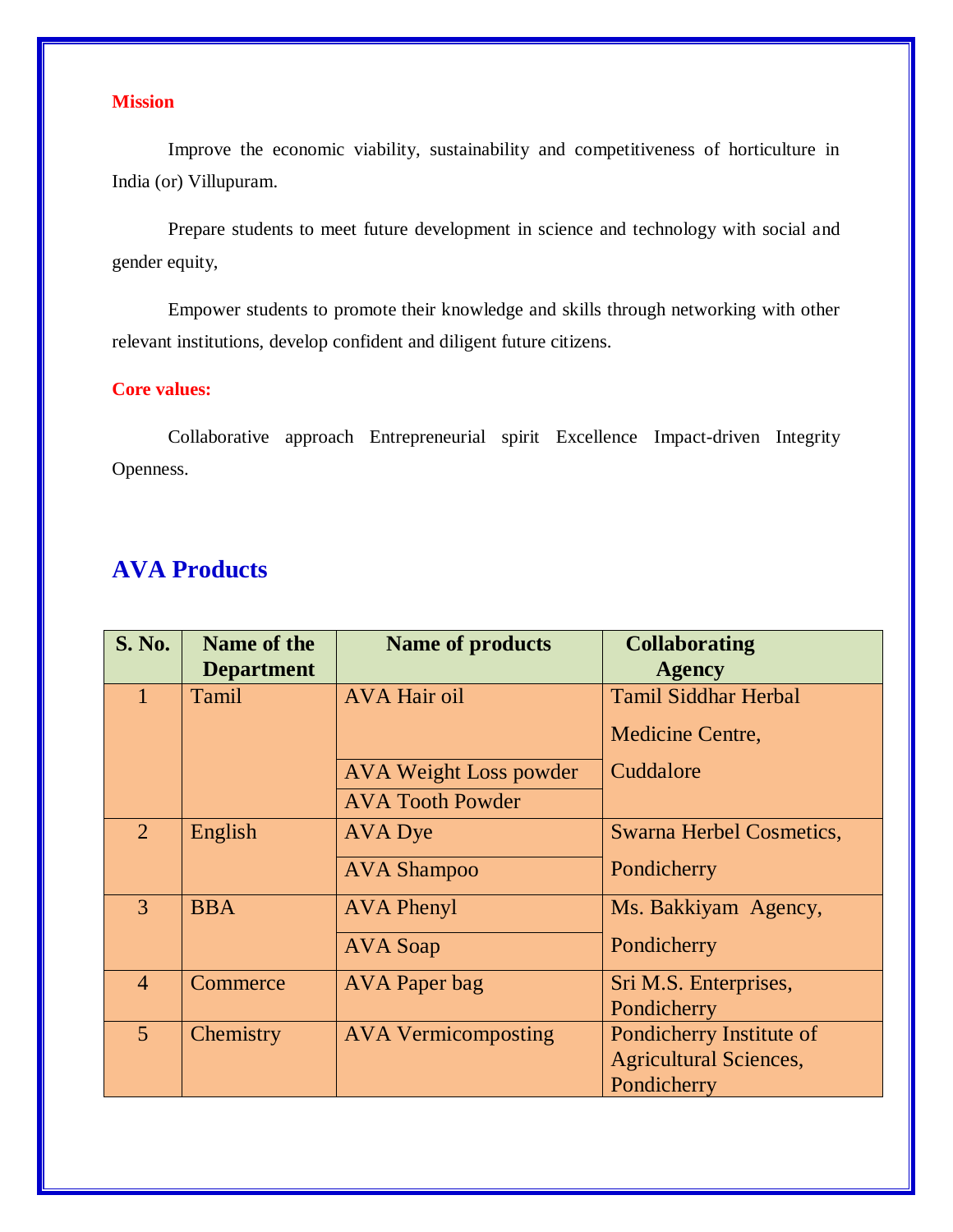## **Mission**

Improve the economic viability, sustainability and competitiveness of horticulture in India (or) Villupuram.

Prepare students to meet future development in science and technology with social and gender equity,

Empower students to promote their knowledge and skills through networking with other relevant institutions, develop confident and diligent future citizens.

### **Core values:**

Collaborative approach Entrepreneurial spirit Excellence Impact-driven Integrity Openness.

# **AVA Products**

| <b>S. No.</b>  | Name of the       | <b>Name of products</b>       | <b>Collaborating</b>            |
|----------------|-------------------|-------------------------------|---------------------------------|
|                | <b>Department</b> |                               | <b>Agency</b>                   |
|                | Tamil             | <b>AVA Hair oil</b>           | <b>Tamil Siddhar Herbal</b>     |
|                |                   |                               | Medicine Centre,                |
|                |                   | <b>AVA Weight Loss powder</b> | Cuddalore                       |
|                |                   | <b>AVA Tooth Powder</b>       |                                 |
| $\overline{2}$ | English           | AVA Dye                       | <b>Swarna Herbel Cosmetics,</b> |
|                |                   | <b>AVA Shampoo</b>            | Pondicherry                     |
| $\mathcal{E}$  | <b>BBA</b>        | <b>AVA Phenyl</b>             | Ms. Bakkiyam Agency,            |
|                |                   | AVA Soap                      | Pondicherry                     |
| $\overline{4}$ | Commerce          | <b>AVA</b> Paper bag          | Sri M.S. Enterprises,           |
|                |                   |                               | Pondicherry                     |
| $\overline{5}$ | Chemistry         | <b>AVA Vermicomposting</b>    | Pondicherry Institute of        |
|                |                   |                               | <b>Agricultural Sciences,</b>   |
|                |                   |                               | Pondicherry                     |